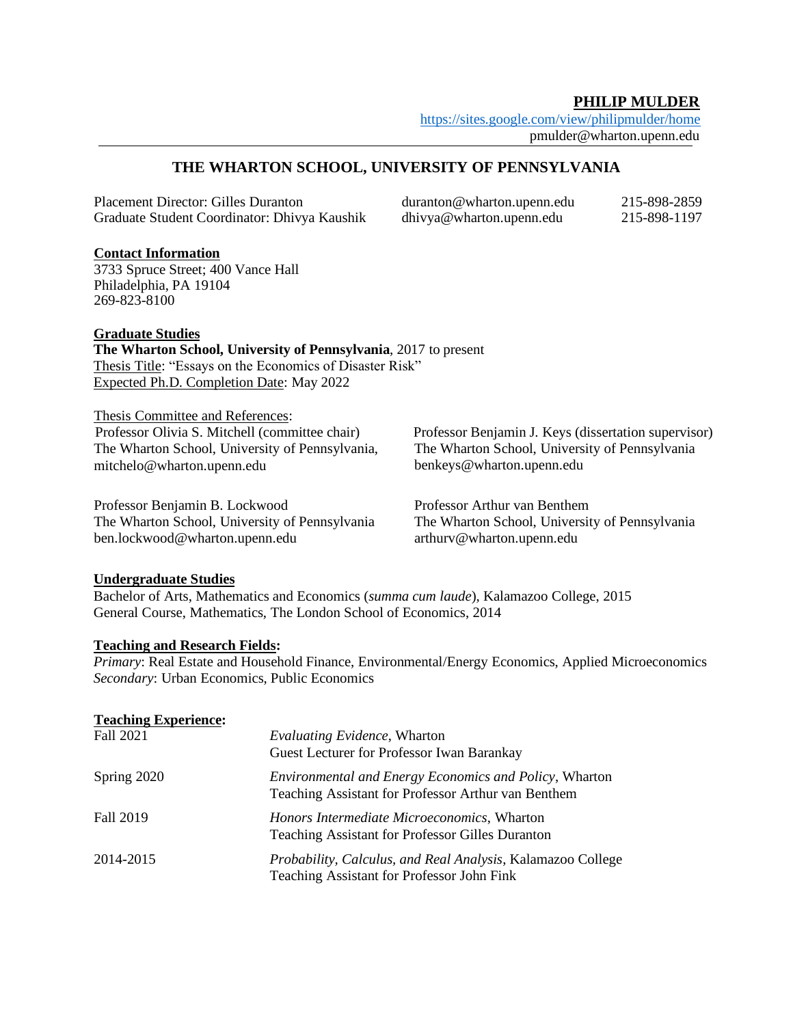**PHILIP MULDER**

<https://sites.google.com/view/philipmulder/home> pmulder@wharton.upenn.edu

# **THE WHARTON SCHOOL, UNIVERSITY OF PENNSYLVANIA**

Placement Director: Gilles Duranton Graduate Student Coordinator: Dhivya Kaushik

duranton@wharton.upenn.edu dhivya@wharton.upenn.edu 215-898-2859 215-898-1197

**Contact Information** 3733 Spruce Street; 400 Vance Hall Philadelphia, PA 19104 269-823-8100

## **Graduate Studies**

**The Wharton School, University of Pennsylvania**, 2017 to present Thesis Title: "Essays on the Economics of Disaster Risk" Expected Ph.D. Completion Date: May 2022

Thesis Committee and References:

 Professor Olivia S. Mitchell (committee chair) The Wharton School, University of Pennsylvania, mitchelo@wharton.upenn.edu

Professor Benjamin B. Lockwood The Wharton School, University of Pennsylvania ben.lockwood@wharton.upenn.edu

 Professor Benjamin J. Keys (dissertation supervisor) The Wharton School, University of Pennsylvania benkeys@wharton.upenn.edu

Professor Arthur van Benthem The Wharton School, University of Pennsylvania arthurv@wharton.upenn.edu

## **Undergraduate Studies**

Bachelor of Arts, Mathematics and Economics (*summa cum laude*)*,* Kalamazoo College, 2015 General Course, Mathematics, The London School of Economics, 2014

## **Teaching and Research Fields:**

*Primary*: Real Estate and Household Finance, Environmental/Energy Economics, Applied Microeconomics *Secondary*: Urban Economics, Public Economics

# **Teaching Experience:**

| Fall 2021   | Evaluating Evidence, Wharton<br>Guest Lecturer for Professor Iwan Barankay                                            |
|-------------|-----------------------------------------------------------------------------------------------------------------------|
| Spring 2020 | <i>Environmental and Energy Economics and Policy</i> , Wharton<br>Teaching Assistant for Professor Arthur van Benthem |
| Fall 2019   | Honors Intermediate Microeconomics, Wharton<br><b>Teaching Assistant for Professor Gilles Duranton</b>                |
| 2014-2015   | Probability, Calculus, and Real Analysis, Kalamazoo College<br>Teaching Assistant for Professor John Fink             |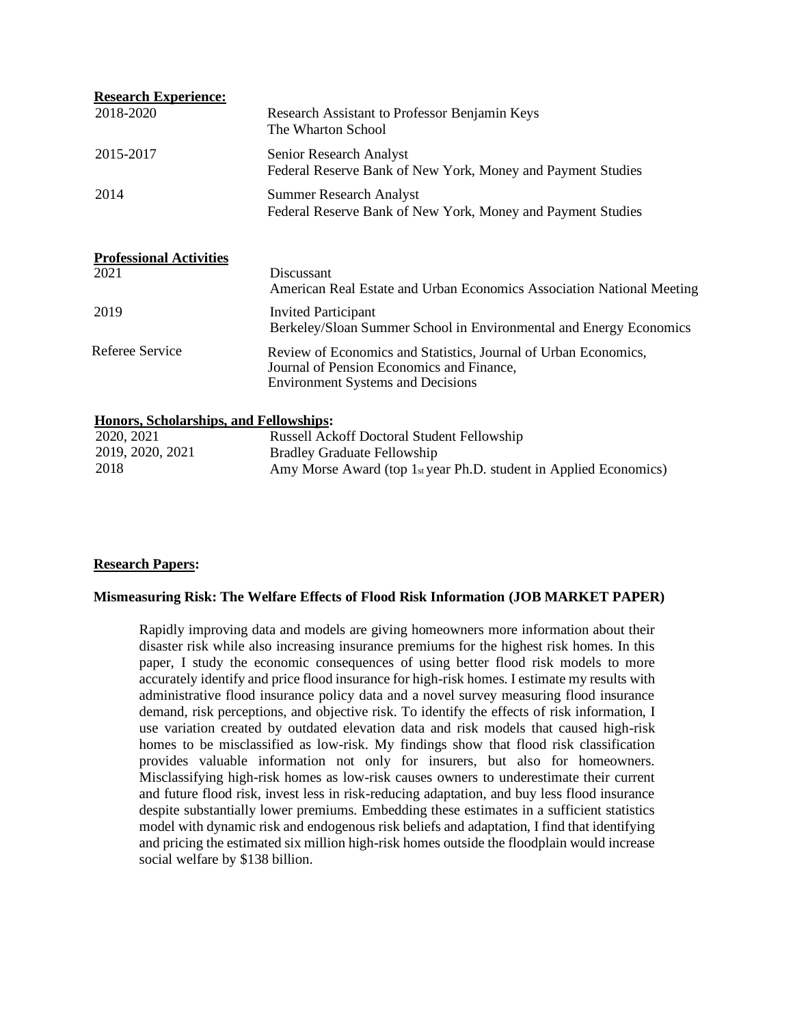| <b>Research Experience:</b>            |                                                                                                                                                          |
|----------------------------------------|----------------------------------------------------------------------------------------------------------------------------------------------------------|
| 2018-2020                              | Research Assistant to Professor Benjamin Keys<br>The Wharton School                                                                                      |
| 2015-2017                              | Senior Research Analyst<br>Federal Reserve Bank of New York, Money and Payment Studies                                                                   |
| 2014                                   | <b>Summer Research Analyst</b><br>Federal Reserve Bank of New York, Money and Payment Studies                                                            |
| <b>Professional Activities</b>         |                                                                                                                                                          |
| 2021                                   | Discussant<br>American Real Estate and Urban Economics Association National Meeting                                                                      |
| 2019                                   | <b>Invited Participant</b><br>Berkeley/Sloan Summer School in Environmental and Energy Economics                                                         |
| Referee Service                        | Review of Economics and Statistics, Journal of Urban Economics,<br>Journal of Pension Economics and Finance,<br><b>Environment Systems and Decisions</b> |
| Honors, Scholarships, and Fellowships: |                                                                                                                                                          |
| 2020, 2021                             | <b>Russell Ackoff Doctoral Student Fellowship</b>                                                                                                        |
| 2019, 2020, 2021                       | <b>Bradley Graduate Fellowship</b>                                                                                                                       |
| 2018                                   | Amy Morse Award (top 1st year Ph.D. student in Applied Economics)                                                                                        |

## **Research Papers:**

## **Mismeasuring Risk: The Welfare Effects of Flood Risk Information (JOB MARKET PAPER)**

Rapidly improving data and models are giving homeowners more information about their disaster risk while also increasing insurance premiums for the highest risk homes. In this paper, I study the economic consequences of using better flood risk models to more accurately identify and price flood insurance for high-risk homes. I estimate my results with administrative flood insurance policy data and a novel survey measuring flood insurance demand, risk perceptions, and objective risk. To identify the effects of risk information, I use variation created by outdated elevation data and risk models that caused high-risk homes to be misclassified as low-risk. My findings show that flood risk classification provides valuable information not only for insurers, but also for homeowners. Misclassifying high-risk homes as low-risk causes owners to underestimate their current and future flood risk, invest less in risk-reducing adaptation, and buy less flood insurance despite substantially lower premiums. Embedding these estimates in a sufficient statistics model with dynamic risk and endogenous risk beliefs and adaptation, I find that identifying and pricing the estimated six million high-risk homes outside the floodplain would increase social welfare by \$138 billion.